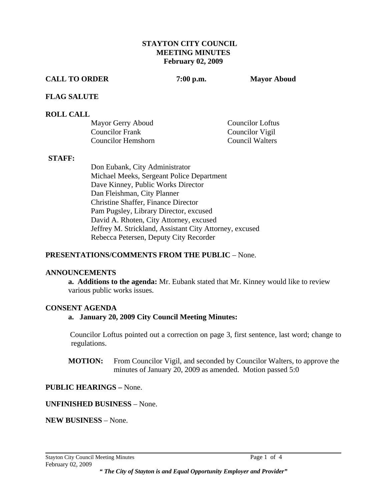### **STAYTON CITY COUNCIL MEETING MINUTES February 02, 2009**

#### **CALL TO ORDER 7:00 p.m. Mayor Aboud**

### **FLAG SALUTE**

### **ROLL CALL**

| Mayor Gerry Aboud      | Councilor Loftus |
|------------------------|------------------|
| <b>Councilor Frank</b> | Councilor Vigil  |
| Councilor Hemshorn     | Council Walters  |

#### **STAFF:**

Don Eubank, City Administrator Michael Meeks, Sergeant Police Department Dave Kinney, Public Works Director Dan Fleishman, City Planner Christine Shaffer, Finance Director Pam Pugsley, Library Director, excused David A. Rhoten, City Attorney, excused Jeffrey M. Strickland, Assistant City Attorney, excused Rebecca Petersen, Deputy City Recorder

### **PRESENTATIONS/COMMENTS FROM THE PUBLIC** – None.

#### **ANNOUNCEMENTS**

 **a. Additions to the agenda:** Mr. Eubank stated that Mr. Kinney would like to review various public works issues.

### **CONSENT AGENDA**

### **a. January 20, 2009 City Council Meeting Minutes:**

 Councilor Loftus pointed out a correction on page 3, first sentence, last word; change to regulations.

 **MOTION:** From Councilor Vigil, and seconded by Councilor Walters, to approve the minutes of January 20, 2009 as amended. Motion passed 5:0

### **PUBLIC HEARINGS –** None.

#### **UNFINISHED BUSINESS** – None.

**NEW BUSINESS** – None.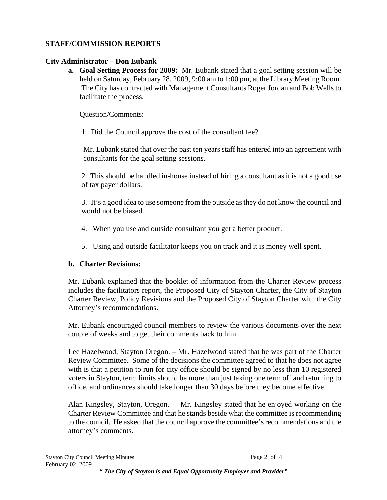## **STAFF/COMMISSION REPORTS**

## **City Administrator – Don Eubank**

**a. Goal Setting Process for 2009:** Mr. Eubank stated that a goal setting session will be held on Saturday, February 28, 2009, 9:00 am to 1:00 pm, at the Library Meeting Room. The City has contracted with Management Consultants Roger Jordan and Bob Wells to facilitate the process.

Question/Comments:

1. Did the Council approve the cost of the consultant fee?

Mr. Eubank stated that over the past ten years staff has entered into an agreement with consultants for the goal setting sessions.

 2. This should be handled in-house instead of hiring a consultant as it is not a good use of tax payer dollars.

3. It's a good idea to use someone from the outside as they do not know the council and would not be biased.

- 4. When you use and outside consultant you get a better product.
- 5. Using and outside facilitator keeps you on track and it is money well spent.

# **b. Charter Revisions:**

Mr. Eubank explained that the booklet of information from the Charter Review process includes the facilitators report, the Proposed City of Stayton Charter, the City of Stayton Charter Review, Policy Revisions and the Proposed City of Stayton Charter with the City Attorney's recommendations.

Mr. Eubank encouraged council members to review the various documents over the next couple of weeks and to get their comments back to him.

Lee Hazelwood, Stayton Oregon. – Mr. Hazelwood stated that he was part of the Charter Review Committee. Some of the decisions the committee agreed to that he does not agree with is that a petition to run for city office should be signed by no less than 10 registered voters in Stayton, term limits should be more than just taking one term off and returning to office, and ordinances should take longer than 30 days before they become effective.

Alan Kingsley, Stayton, Oregon. – Mr. Kingsley stated that he enjoyed working on the Charter Review Committee and that he stands beside what the committee is recommending to the council. He asked that the council approve the committee's recommendations and the attorney's comments.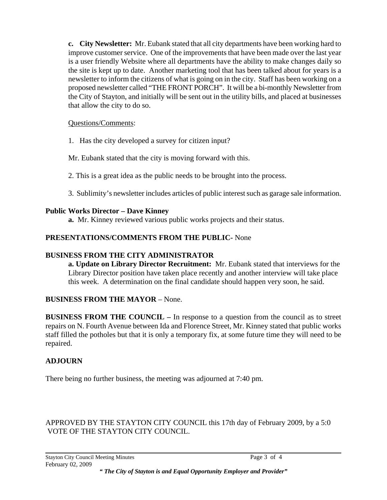**c. City Newsletter:** Mr. Eubank stated that all city departments have been working hard to improve customer service. One of the improvements that have been made over the last year is a user friendly Website where all departments have the ability to make changes daily so the site is kept up to date. Another marketing tool that has been talked about for years is a newsletter to inform the citizens of what is going on in the city. Staff has been working on a proposed newsletter called "THE FRONT PORCH". It will be a bi-monthly Newsletter from the City of Stayton, and initially will be sent out in the utility bills, and placed at businesses that allow the city to do so.

### Questions/Comments:

1. Has the city developed a survey for citizen input?

Mr. Eubank stated that the city is moving forward with this.

- 2. This is a great idea as the public needs to be brought into the process.
- 3. Sublimity's newsletter includes articles of public interest such as garage sale information.

### **Public Works Director – Dave Kinney**

 **a.** Mr. Kinney reviewed various public works projects and their status.

### **PRESENTATIONS/COMMENTS FROM THE PUBLIC-** None

### **BUSINESS FROM THE CITY ADMINISTRATOR**

 **a. Update on Library Director Recruitment:** Mr. Eubank stated that interviews for the Library Director position have taken place recently and another interview will take place this week. A determination on the final candidate should happen very soon, he said.

## **BUSINESS FROM THE MAYOR** – None.

**BUSINESS FROM THE COUNCIL –** In response to a question from the council as to street repairs on N. Fourth Avenue between Ida and Florence Street, Mr. Kinney stated that public works staff filled the potholes but that it is only a temporary fix, at some future time they will need to be repaired.

## **ADJOURN**

There being no further business, the meeting was adjourned at 7:40 pm.

APPROVED BY THE STAYTON CITY COUNCIL this 17th day of February 2009, by a 5:0 VOTE OF THE STAYTON CITY COUNCIL.